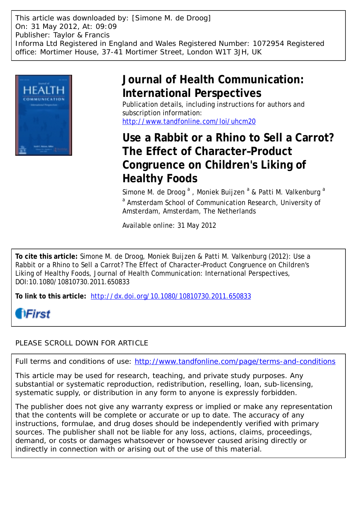This article was downloaded by: [Simone M. de Droog] On: 31 May 2012, At: 09:09 Publisher: Taylor & Francis Informa Ltd Registered in England and Wales Registered Number: 1072954 Registered office: Mortimer House, 37-41 Mortimer Street, London W1T 3JH, UK



# **Journal of Health Communication: International Perspectives**

Publication details, including instructions for authors and subscription information: <http://www.tandfonline.com/loi/uhcm20>

## **Use a Rabbit or a Rhino to Sell a Carrot? The Effect of Character–Product Congruence on Children's Liking of Healthy Foods**

Simone M. de Droog <sup>a</sup>, Moniek Buijzen <sup>a</sup> & Patti M. Valkenburg <sup>a</sup> <sup>a</sup> Amsterdam School of Communication Research, University of Amsterdam, Amsterdam, The Netherlands

Available online: 31 May 2012

**To cite this article:** Simone M. de Droog, Moniek Buijzen & Patti M. Valkenburg (2012): Use a Rabbit or a Rhino to Sell a Carrot? The Effect of Character–Product Congruence on Children's Liking of Healthy Foods, Journal of Health Communication: International Perspectives, DOI:10.1080/10810730.2011.650833

**To link to this article:** <http://dx.doi.org/10.1080/10810730.2011.650833>

# **fiFirst**

### PLEASE SCROLL DOWN FOR ARTICLE

Full terms and conditions of use:<http://www.tandfonline.com/page/terms-and-conditions>

This article may be used for research, teaching, and private study purposes. Any substantial or systematic reproduction, redistribution, reselling, loan, sub-licensing, systematic supply, or distribution in any form to anyone is expressly forbidden.

The publisher does not give any warranty express or implied or make any representation that the contents will be complete or accurate or up to date. The accuracy of any instructions, formulae, and drug doses should be independently verified with primary sources. The publisher shall not be liable for any loss, actions, claims, proceedings, demand, or costs or damages whatsoever or howsoever caused arising directly or indirectly in connection with or arising out of the use of this material.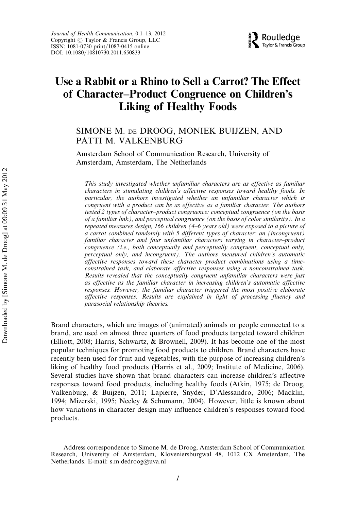

## Use a Rabbit or a Rhino to Sell a Carrot? The Effect of Character–Product Congruence on Children's Liking of Healthy Foods

### SIMONE M. DE DROOG, MONIEK BUIJZEN, AND PATTI M. VALKENBURG

Amsterdam School of Communication Research, University of Amsterdam, Amsterdam, The Netherlands

This study investigated whether unfamiliar characters are as effective as familiar characters in stimulating children's affective responses toward healthy foods. In particular, the authors investigated whether an unfamiliar character which is congruent with a product can be as effective as a familiar character. The authors tested 2 types of character–product congruence: conceptual congruence (on the basis of a familiar link), and perceptual congruence (on the basis of color similarity). In a repeated measures design, 166 children (4–6 years old) were exposed to a picture of a carrot combined randomly with 5 different types of character: an (incongruent) familiar character and four unfamiliar characters varying in character–product congruence (i.e., both conceptually and perceptually congruent, conceptual only, perceptual only, and incongruent). The authors measured children's automatic affective responses toward these character–product combinations using a timeconstrained task, and elaborate affective responses using a nonconstrained task. Results revealed that the conceptually congruent unfamiliar characters were just as effective as the familiar character in increasing children's automatic affective responses. However, the familiar character triggered the most positive elaborate affective responses. Results are explained in light of processing fluency and parasocial relationship theories.

Brand characters, which are images of (animated) animals or people connected to a brand, are used on almost three quarters of food products targeted toward children (Elliott, 2008; Harris, Schwartz, & Brownell, 2009). It has become one of the most popular techniques for promoting food products to children. Brand characters have recently been used for fruit and vegetables, with the purpose of increasing children's liking of healthy food products (Harris et al., 2009; Institute of Medicine, 2006). Several studies have shown that brand characters can increase children's affective responses toward food products, including healthy foods (Atkin, 1975; de Droog, Valkenburg, & Buijzen, 2011; Lapierre, Snyder, D'Alessandro, 2006; Macklin, 1994; Mizerski, 1995; Neeley & Schumann, 2004). However, little is known about how variations in character design may influence children's responses toward food products.

Address correspondence to Simone M. de Droog, Amsterdam School of Communication Research, University of Amsterdam, Kloveniersburgwal 48, 1012 CX Amsterdam, The Netherlands. E-mail: s.m.dedroog@uva.nl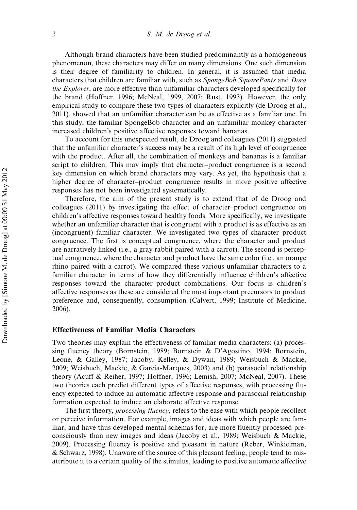Although brand characters have been studied predominantly as a homogeneous phenomenon, these characters may differ on many dimensions. One such dimension is their degree of familiarity to children. In general, it is assumed that media characters that children are familiar with, such as SpongeBob SquarePants and Dora the Explorer, are more effective than unfamiliar characters developed specifically for the brand (Hoffner, 1996; McNeal, 1999, 2007; Rust, 1993). However, the only empirical study to compare these two types of characters explicitly (de Droog et al., 2011), showed that an unfamiliar character can be as effective as a familiar one. In this study, the familiar SpongeBob character and an unfamiliar monkey character increased children's positive affective responses toward bananas.

To account for this unexpected result, de Droog and colleagues (2011) suggested that the unfamiliar character's success may be a result of its high level of congruence with the product. After all, the combination of monkeys and bananas is a familiar script to children. This may imply that character–product congruence is a second key dimension on which brand characters may vary. As yet, the hypothesis that a higher degree of character–product congruence results in more positive affective responses has not been investigated systematically.

Therefore, the aim of the present study is to extend that of de Droog and colleagues (2011) by investigating the effect of character–product congruence on children's affective responses toward healthy foods. More specifically, we investigate whether an unfamiliar character that is congruent with a product is as effective as an (incongruent) familiar character. We investigated two types of character–product congruence. The first is conceptual congruence, where the character and product are narratively linked (i.e., a gray rabbit paired with a carrot). The second is perceptual congruence, where the character and product have the same color (i.e., an orange rhino paired with a carrot). We compared these various unfamiliar characters to a familiar character in terms of how they differentially influence children's affective responses toward the character–product combinations. Our focus is children's affective responses as these are considered the most important precursors to product preference and, consequently, consumption (Calvert, 1999; Institute of Medicine, 2006).

#### Effectiveness of Familiar Media Characters

Two theories may explain the effectiveness of familiar media characters: (a) processing fluency theory (Bornstein, 1989; Bornstein & D'Agostino, 1994; Bornstein, Leone, & Galley, 1987; Jacoby, Kelley, & Dywan, 1989; Weisbuch & Mackie, 2009; Weisbuch, Mackie, & Garcia-Marques, 2003) and (b) parasocial relationship theory (Acuff & Reiher, 1997; Hoffner, 1996; Lemish, 2007; McNeal, 2007). These two theories each predict different types of affective responses, with processing fluency expected to induce an automatic affective response and parasocial relationship formation expected to induce an elaborate affective response.

The first theory, *processing fluency*, refers to the ease with which people recollect or perceive information. For example, images and ideas with which people are familiar, and have thus developed mental schemas for, are more fluently processed preconsciously than new images and ideas (Jacoby et al., 1989; Weisbuch & Mackie, 2009). Processing fluency is positive and pleasant in nature (Reber, Winkielman, & Schwarz, 1998). Unaware of the source of this pleasant feeling, people tend to misattribute it to a certain quality of the stimulus, leading to positive automatic affective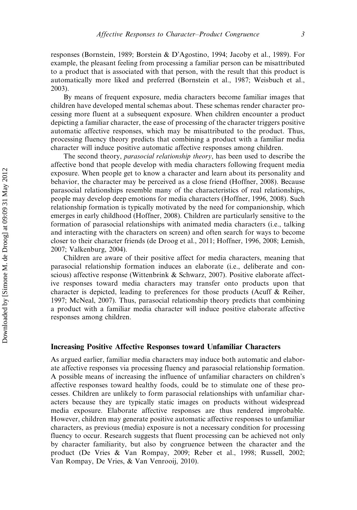responses (Bornstein, 1989; Borstein & D'Agostino, 1994; Jacoby et al., 1989). For example, the pleasant feeling from processing a familiar person can be misattributed to a product that is associated with that person, with the result that this product is automatically more liked and preferred (Bornstein et al., 1987; Weisbuch et al., 2003).

By means of frequent exposure, media characters become familiar images that children have developed mental schemas about. These schemas render character processing more fluent at a subsequent exposure. When children encounter a product depicting a familiar character, the ease of processing of the character triggers positive automatic affective responses, which may be misattributed to the product. Thus, processing fluency theory predicts that combining a product with a familiar media character will induce positive automatic affective responses among children.

The second theory, parasocial relationship theory, has been used to describe the affective bond that people develop with media characters following frequent media exposure. When people get to know a character and learn about its personality and behavior, the character may be perceived as a close friend (Hoffner, 2008). Because parasocial relationships resemble many of the characteristics of real relationships, people may develop deep emotions for media characters (Hoffner, 1996, 2008). Such relationship formation is typically motivated by the need for companionship, which emerges in early childhood (Hoffner, 2008). Children are particularly sensitive to the formation of parasocial relationships with animated media characters (i.e., talking and interacting with the characters on screen) and often search for ways to become closer to their character friends (de Droog et al., 2011; Hoffner, 1996, 2008; Lemish, 2007; Valkenburg, 2004).

Children are aware of their positive affect for media characters, meaning that parasocial relationship formation induces an elaborate (i.e., deliberate and conscious) affective response (Wittenbrink & Schwarz, 2007). Positive elaborate affective responses toward media characters may transfer onto products upon that character is depicted, leading to preferences for those products (Acuff & Reiher, 1997; McNeal, 2007). Thus, parasocial relationship theory predicts that combining a product with a familiar media character will induce positive elaborate affective responses among children.

#### Increasing Positive Affective Responses toward Unfamiliar Characters

As argued earlier, familiar media characters may induce both automatic and elaborate affective responses via processing fluency and parasocial relationship formation. A possible means of increasing the influence of unfamiliar characters on children's affective responses toward healthy foods, could be to stimulate one of these processes. Children are unlikely to form parasocial relationships with unfamiliar characters because they are typically static images on products without widespread media exposure. Elaborate affective responses are thus rendered improbable. However, children may generate positive automatic affective responses to unfamiliar characters, as previous (media) exposure is not a necessary condition for processing fluency to occur. Research suggests that fluent processing can be achieved not only by character familiarity, but also by congruence between the character and the product (De Vries & Van Rompay, 2009; Reber et al., 1998; Russell, 2002; Van Rompay, De Vries, & Van Venrooij, 2010).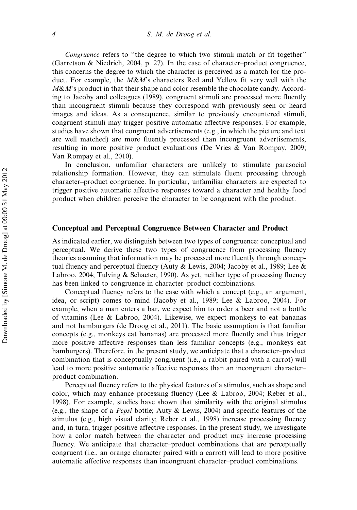Congruence refers to ''the degree to which two stimuli match or fit together'' (Garretson & Niedrich, 2004, p. 27). In the case of character–product congruence, this concerns the degree to which the character is perceived as a match for the product. For example, the  $M\&M$ 's characters Red and Yellow fit very well with the  $M\&M$ 's product in that their shape and color resemble the chocolate candy. According to Jacoby and colleagues (1989), congruent stimuli are processed more fluently than incongruent stimuli because they correspond with previously seen or heard images and ideas. As a consequence, similar to previously encountered stimuli, congruent stimuli may trigger positive automatic affective responses. For example, studies have shown that congruent advertisements (e.g., in which the picture and text are well matched) are more fluently processed than incongruent advertisements, resulting in more positive product evaluations (De Vries & Van Rompay, 2009; Van Rompay et al., 2010).

In conclusion, unfamiliar characters are unlikely to stimulate parasocial relationship formation. However, they can stimulate fluent processing through character–product congruence. In particular, unfamiliar characters are expected to trigger positive automatic affective responses toward a character and healthy food product when children perceive the character to be congruent with the product.

#### Conceptual and Perceptual Congruence Between Character and Product

As indicated earlier, we distinguish between two types of congruence: conceptual and perceptual. We derive these two types of congruence from processing fluency theories assuming that information may be processed more fluently through conceptual fluency and perceptual fluency (Auty & Lewis, 2004; Jacoby et al., 1989; Lee & Labroo, 2004; Tulving & Schacter, 1990). As yet, neither type of processing fluency has been linked to congruence in character–product combinations.

Conceptual fluency refers to the ease with which a concept (e.g., an argument, idea, or script) comes to mind (Jacoby et al., 1989; Lee & Labroo, 2004). For example, when a man enters a bar, we expect him to order a beer and not a bottle of vitamins (Lee & Labroo, 2004). Likewise, we expect monkeys to eat bananas and not hamburgers (de Droog et al., 2011). The basic assumption is that familiar concepts (e.g., monkeys eat bananas) are processed more fluently and thus trigger more positive affective responses than less familiar concepts (e.g., monkeys eat hamburgers). Therefore, in the present study, we anticipate that a character–product combination that is conceptually congruent (i.e., a rabbit paired with a carrot) will lead to more positive automatic affective responses than an incongruent character– product combination.

Perceptual fluency refers to the physical features of a stimulus, such as shape and color, which may enhance processing fluency (Lee & Labroo, 2004; Reber et al., 1998). For example, studies have shown that similarity with the original stimulus (e.g., the shape of a Pepsi bottle; Auty & Lewis, 2004) and specific features of the stimulus (e.g., high visual clarity; Reber et al., 1998) increase processing fluency and, in turn, trigger positive affective responses. In the present study, we investigate how a color match between the character and product may increase processing fluency. We anticipate that character–product combinations that are perceptually congruent (i.e., an orange character paired with a carrot) will lead to more positive automatic affective responses than incongruent character–product combinations.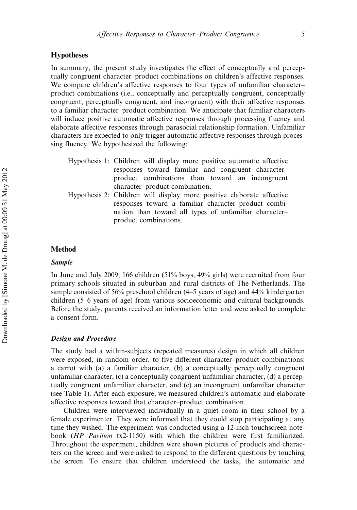#### **Hypotheses**

In summary, the present study investigates the effect of conceptually and perceptually congruent character–product combinations on children's affective responses. We compare children's affective responses to four types of unfamiliar character– product combinations (i.e., conceptually and perceptually congruent, conceptually congruent, perceptually congruent, and incongruent) with their affective responses to a familiar character–product combination. We anticipate that familiar characters will induce positive automatic affective responses through processing fluency and elaborate affective responses through parasocial relationship formation. Unfamiliar characters are expected to only trigger automatic affective responses through processing fluency. We hypothesized the following:

- Hypothesis 1: Children will display more positive automatic affective responses toward familiar and congruent character– product combinations than toward an incongruent character–product combination.
- Hypothesis 2: Children will display more positive elaborate affective responses toward a familiar character–product combination than toward all types of unfamiliar character– product combinations.

#### Method

#### Sample

In June and July 2009, 166 children (51% boys, 49% girls) were recruited from four primary schools situated in suburban and rural districts of The Netherlands. The sample consisted of 56% preschool children (4–5 years of age) and 44% kindergarten children (5–6 years of age) from various socioeconomic and cultural backgrounds. Before the study, parents received an information letter and were asked to complete a consent form.

#### Design and Procedure

The study had a within-subjects (repeated measures) design in which all children were exposed, in random order, to five different character–product combinations: a carrot with (a) a familiar character, (b) a conceptually perceptually congruent unfamiliar character, (c) a conceptually congruent unfamiliar character, (d) a perceptually congruent unfamiliar character, and (e) an incongruent unfamiliar character (see Table 1). After each exposure, we measured children's automatic and elaborate affective responses toward that character–product combination.

Children were interviewed individually in a quiet room in their school by a female experimenter. They were informed that they could stop participating at any time they wished. The experiment was conducted using a 12-inch touchscreen notebook (HP Pavilion tx2-1150) with which the children were first familiarized. Throughout the experiment, children were shown pictures of products and characters on the screen and were asked to respond to the different questions by touching the screen. To ensure that children understood the tasks, the automatic and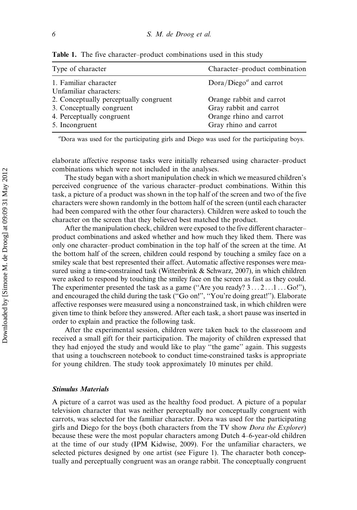| Type of character                                                                                                  | Character-product combination                                                                          |  |  |
|--------------------------------------------------------------------------------------------------------------------|--------------------------------------------------------------------------------------------------------|--|--|
| 1. Familiar character<br>Unfamiliar characters:                                                                    | $Dora/Diegoa$ and carrot                                                                               |  |  |
| 2. Conceptually perceptually congruent<br>3. Conceptually congruent<br>4. Perceptually congruent<br>5. Incongruent | Orange rabbit and carrot<br>Gray rabbit and carrot<br>Orange rhino and carrot<br>Gray rhino and carrot |  |  |

Table 1. The five character–product combinations used in this study

a Dora was used for the participating girls and Diego was used for the participating boys.

elaborate affective response tasks were initially rehearsed using character–product combinations which were not included in the analyses.

The study began with a short manipulation check in which we measured children's perceived congruence of the various character–product combinations. Within this task, a picture of a product was shown in the top half of the screen and two of the five characters were shown randomly in the bottom half of the screen (until each character had been compared with the other four characters). Children were asked to touch the character on the screen that they believed best matched the product.

After the manipulation check, children were exposed to the five different character– product combinations and asked whether and how much they liked them. There was only one character–product combination in the top half of the screen at the time. At the bottom half of the screen, children could respond by touching a smiley face on a smiley scale that best represented their affect. Automatic affective responses were measured using a time-constrained task (Wittenbrink & Schwarz, 2007), in which children were asked to respond by touching the smiley face on the screen as fast as they could. The experimenter presented the task as a game ("Are you ready?  $3 \dots 2 \dots 1 \dots$  Go!"), and encouraged the child during the task (''Go on!'', ''You're doing great!''). Elaborate affective responses were measured using a nonconstrained task, in which children were given time to think before they answered. After each task, a short pause was inserted in order to explain and practice the following task.

After the experimental session, children were taken back to the classroom and received a small gift for their participation. The majority of children expressed that they had enjoyed the study and would like to play ''the game'' again. This suggests that using a touchscreen notebook to conduct time-constrained tasks is appropriate for young children. The study took approximately 10 minutes per child.

#### Stimulus Materials

A picture of a carrot was used as the healthy food product. A picture of a popular television character that was neither perceptually nor conceptually congruent with carrots, was selected for the familiar character. Dora was used for the participating girls and Diego for the boys (both characters from the TV show *Dora the Explorer*) because these were the most popular characters among Dutch 4–6-year-old children at the time of our study (IPM Kidwise, 2009). For the unfamiliar characters, we selected pictures designed by one artist (see Figure 1). The character both conceptually and perceptually congruent was an orange rabbit. The conceptually congruent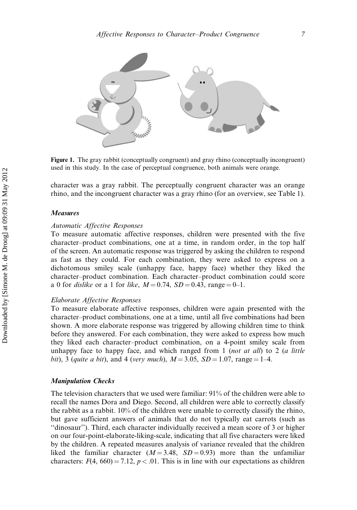

Figure 1. The gray rabbit (conceptually congruent) and gray rhino (conceptually incongruent) used in this study. In the case of perceptual congruence, both animals were orange.

character was a gray rabbit. The perceptually congruent character was an orange rhino, and the incongruent character was a gray rhino (for an overview, see Table 1).

#### Measures

#### Automatic Affective Responses

To measure automatic affective responses, children were presented with the five character–product combinations, one at a time, in random order, in the top half of the screen. An automatic response was triggered by asking the children to respond as fast as they could. For each combination, they were asked to express on a dichotomous smiley scale (unhappy face, happy face) whether they liked the character–product combination. Each character–product combination could score a 0 for *dislike* or a 1 for *like*,  $M = 0.74$ ,  $SD = 0.43$ , range = 0–1.

#### Elaborate Affective Responses

To measure elaborate affective responses, children were again presented with the character–product combinations, one at a time, until all five combinations had been shown. A more elaborate response was triggered by allowing children time to think before they answered. For each combination, they were asked to express how much they liked each character–product combination, on a 4-point smiley scale from unhappy face to happy face, and which ranged from 1 (*not at all*) to 2 (*a little* bit), 3 (quite a bit), and 4 (very much),  $M = 3.05$ ,  $SD = 1.07$ , range = 1-4.

#### Manipulation Checks

The television characters that we used were familiar: 91% of the children were able to recall the names Dora and Diego. Second, all children were able to correctly classify the rabbit as a rabbit. 10% of the children were unable to correctly classify the rhino, but gave sufficient answers of animals that do not typically eat carrots (such as ''dinosaur''). Third, each character individually received a mean score of 3 or higher on our four-point-elaborate-liking-scale, indicating that all five characters were liked by the children. A repeated measures analysis of variance revealed that the children liked the familiar character  $(M = 3.48, SD = 0.93)$  more than the unfamiliar characters:  $F(4, 660) = 7.12$ ,  $p < .01$ . This is in line with our expectations as children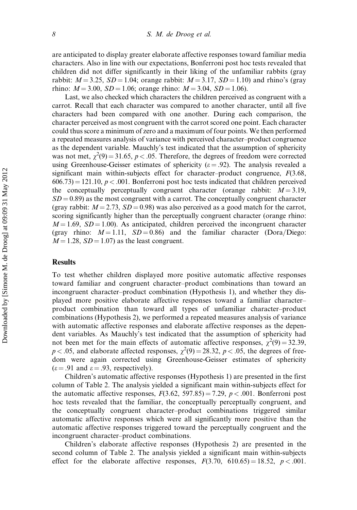are anticipated to display greater elaborate affective responses toward familiar media characters. Also in line with our expectations, Bonferroni post hoc tests revealed that children did not differ significantly in their liking of the unfamiliar rabbits (gray rabbit:  $M = 3.25$ ,  $SD = 1.04$ ; orange rabbit:  $M = 3.17$ ,  $SD = 1.10$ ) and rhino's (gray rhino:  $M = 3.00$ ,  $SD = 1.06$ ; orange rhino:  $M = 3.04$ ,  $SD = 1.06$ ).

Last, we also checked which characters the children perceived as congruent with a carrot. Recall that each character was compared to another character, until all five characters had been compared with one another. During each comparison, the character perceived as most congruent with the carrot scored one point. Each character could thus score a minimum of zero and a maximum of four points. We then performed a repeated measures analysis of variance with perceived character–product congruence as the dependent variable. Mauchly's test indicated that the assumption of sphericity was not met,  $\chi^2(9) = 31.65$ ,  $p < .05$ . Therefore, the degrees of freedom were corrected using Greenhouse-Geisser estimates of sphericity ( $\varepsilon$  = .92). The analysis revealed a significant main within-subjects effect for character–product congruence,  $F(3.68,$  $606.73$  = 121.10,  $p < .001$ . Bonferroni post hoc tests indicated that children perceived the conceptually perceptually congruent character (orange rabbit:  $M = 3.19$ ,  $SD = 0.89$ ) as the most congruent with a carrot. The conceptually congruent character (gray rabbit:  $M = 2.73$ ,  $SD = 0.98$ ) was also perceived as a good match for the carrot, scoring significantly higher than the perceptually congruent character (orange rhino:  $M = 1.69$ ,  $SD = 1.00$ . As anticipated, children perceived the incongruent character (gray rhino:  $M = 1.11$ ,  $SD = 0.86$ ) and the familiar character (Dora/Diego:  $M = 1.28$ ,  $SD = 1.07$ ) as the least congruent.

#### Results

To test whether children displayed more positive automatic affective responses toward familiar and congruent character–product combinations than toward an incongruent character–product combination (Hypothesis 1), and whether they displayed more positive elaborate affective responses toward a familiar character– product combination than toward all types of unfamiliar character–product combinations (Hypothesis 2), we performed a repeated measures analysis of variance with automatic affective responses and elaborate affective responses as the dependent variables. As Mauchly's test indicated that the assumption of sphericity had not been met for the main effects of automatic affective responses,  $\chi^2(9) = 32.39$ ,  $p < .05$ , and elaborate affected responses,  $\chi^2(9) = 28.32$ ,  $p < .05$ , the degrees of freedom were again corrected using Greenhouse-Geisser estimates of sphericity  $(\epsilon = .91$  and  $\epsilon = .93$ , respectively).

Children's automatic affective responses (Hypothesis 1) are presented in the first column of Table 2. The analysis yielded a significant main within-subjects effect for the automatic affective responses,  $F(3.62, 597.85) = 7.29$ ,  $p < .001$ . Bonferroni post hoc tests revealed that the familiar, the conceptually perceptually congruent, and the conceptually congruent character–product combinations triggered similar automatic affective responses which were all significantly more positive than the automatic affective responses triggered toward the perceptually congruent and the incongruent character–product combinations.

Children's elaborate affective responses (Hypothesis 2) are presented in the second column of Table 2. The analysis yielded a significant main within-subjects effect for the elaborate affective responses,  $F(3.70, 610.65) = 18.52, p < .001$ .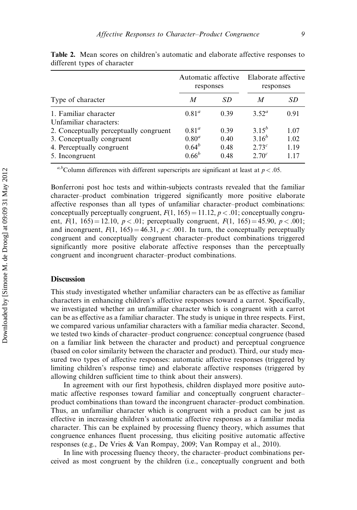| Type of character                                                                                                  | Automatic affective<br>responses                   |                              | Elaborate affective<br>responses                     |                              |
|--------------------------------------------------------------------------------------------------------------------|----------------------------------------------------|------------------------------|------------------------------------------------------|------------------------------|
|                                                                                                                    | M                                                  | SD                           | M                                                    | SD                           |
| 1. Familiar character<br>Unfamiliar characters:                                                                    | $0.81^a$                                           | 0.39                         | $3.52^a$                                             | 0.91                         |
| 2. Conceptually perceptually congruent<br>3. Conceptually congruent<br>4. Perceptually congruent<br>5. Incongruent | $0.81^a$<br>$0.80^{a}$<br>$0.64^{b}$<br>$0.66^{b}$ | 0.39<br>0.40<br>0.48<br>0.48 | $3.15^{b}$<br>$3.16^{b}$<br>$2.73^{c}$<br>$2.70^{c}$ | 1.07<br>1.02<br>1.19<br>1.17 |

Table 2. Mean scores on children's automatic and elaborate affective responses to different types of character

<sup>a,b</sup>Column differences with different superscripts are significant at least at  $p < .05$ .

Bonferroni post hoc tests and within-subjects contrasts revealed that the familiar character–product combination triggered significantly more positive elaborate affective responses than all types of unfamiliar character–product combinations: conceptually perceptually congruent,  $F(1, 165) = 11.12$ ,  $p < .01$ ; conceptually congruent,  $F(1, 165) = 12.10, p < .01$ ; perceptually congruent,  $F(1, 165) = 45.90, p < .001$ ; and incongruent,  $F(1, 165) = 46.31$ ,  $p < .001$ . In turn, the conceptually perceptually congruent and conceptually congruent character–product combinations triggered significantly more positive elaborate affective responses than the perceptually congruent and incongruent character–product combinations.

#### **Discussion**

This study investigated whether unfamiliar characters can be as effective as familiar characters in enhancing children's affective responses toward a carrot. Specifically, we investigated whether an unfamiliar character which is congruent with a carrot can be as effective as a familiar character. The study is unique in three respects. First, we compared various unfamiliar characters with a familiar media character. Second, we tested two kinds of character–product congruence: conceptual congruence (based on a familiar link between the character and product) and perceptual congruence (based on color similarity between the character and product). Third, our study measured two types of affective responses: automatic affective responses (triggered by limiting children's response time) and elaborate affective responses (triggered by allowing children sufficient time to think about their answers).

In agreement with our first hypothesis, children displayed more positive automatic affective responses toward familiar and conceptually congruent character– product combinations than toward the incongruent character–product combination. Thus, an unfamiliar character which is congruent with a product can be just as effective in increasing children's automatic affective responses as a familiar media character. This can be explained by processing fluency theory, which assumes that congruence enhances fluent processing, thus eliciting positive automatic affective responses (e.g., De Vries & Van Rompay, 2009; Van Rompay et al., 2010).

In line with processing fluency theory, the character–product combinations perceived as most congruent by the children (i.e., conceptually congruent and both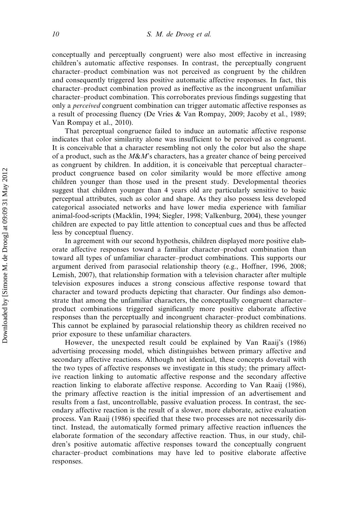conceptually and perceptually congruent) were also most effective in increasing children's automatic affective responses. In contrast, the perceptually congruent character–product combination was not perceived as congruent by the children and consequently triggered less positive automatic affective responses. In fact, this character–product combination proved as ineffective as the incongruent unfamiliar character–product combination. This corroborates previous findings suggesting that only a perceived congruent combination can trigger automatic affective responses as a result of processing fluency (De Vries & Van Rompay, 2009; Jacoby et al., 1989; Van Rompay et al., 2010).

That perceptual congruence failed to induce an automatic affective response indicates that color similarity alone was insufficient to be perceived as congruent. It is conceivable that a character resembling not only the color but also the shape of a product, such as the  $M\&M$ 's characters, has a greater chance of being perceived as congruent by children. In addition, it is conceivable that perceptual character– product congruence based on color similarity would be more effective among children younger than those used in the present study. Developmental theories suggest that children younger than 4 years old are particularly sensitive to basic perceptual attributes, such as color and shape. As they also possess less developed categorical associated networks and have lower media experience with familiar animal-food-scripts (Macklin, 1994; Siegler, 1998; Valkenburg, 2004), these younger children are expected to pay little attention to conceptual cues and thus be affected less by conceptual fluency.

In agreement with our second hypothesis, children displayed more positive elaborate affective responses toward a familiar character–product combination than toward all types of unfamiliar character–product combinations. This supports our argument derived from parasocial relationship theory (e.g., Hoffner, 1996, 2008; Lemish, 2007), that relationship formation with a television character after multiple television exposures induces a strong conscious affective response toward that character and toward products depicting that character. Our findings also demonstrate that among the unfamiliar characters, the conceptually congruent character– product combinations triggered significantly more positive elaborate affective responses than the perceptually and incongruent character–product combinations. This cannot be explained by parasocial relationship theory as children received no prior exposure to these unfamiliar characters.

However, the unexpected result could be explained by Van Raaij's (1986) advertising processing model, which distinguishes between primary affective and secondary affective reactions. Although not identical, these concepts dovetail with the two types of affective responses we investigate in this study; the primary affective reaction linking to automatic affective response and the secondary affective reaction linking to elaborate affective response. According to Van Raaij (1986), the primary affective reaction is the initial impression of an advertisement and results from a fast, uncontrollable, passive evaluation process. In contrast, the secondary affective reaction is the result of a slower, more elaborate, active evaluation process. Van Raaij (1986) specified that these two processes are not necessarily distinct. Instead, the automatically formed primary affective reaction influences the elaborate formation of the secondary affective reaction. Thus, in our study, children's positive automatic affective responses toward the conceptually congruent character–product combinations may have led to positive elaborate affective responses.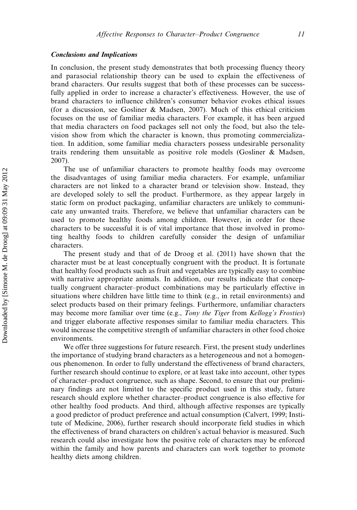#### Conclusions and Implications

In conclusion, the present study demonstrates that both processing fluency theory and parasocial relationship theory can be used to explain the effectiveness of brand characters. Our results suggest that both of these processes can be successfully applied in order to increase a character's effectiveness. However, the use of brand characters to influence children's consumer behavior evokes ethical issues (for a discussion, see Gosliner & Madsen, 2007). Much of this ethical criticism focuses on the use of familiar media characters. For example, it has been argued that media characters on food packages sell not only the food, but also the television show from which the character is known, thus promoting commercialization. In addition, some familiar media characters possess undesirable personality traits rendering them unsuitable as positive role models (Gosliner & Madsen, 2007).

The use of unfamiliar characters to promote healthy foods may overcome the disadvantages of using familiar media characters. For example, unfamiliar characters are not linked to a character brand or television show. Instead, they are developed solely to sell the product. Furthermore, as they appear largely in static form on product packaging, unfamiliar characters are unlikely to communicate any unwanted traits. Therefore, we believe that unfamiliar characters can be used to promote healthy foods among children. However, in order for these characters to be successful it is of vital importance that those involved in promoting healthy foods to children carefully consider the design of unfamiliar characters.

The present study and that of de Droog et al. (2011) have shown that the character must be at least conceptually congruent with the product. It is fortunate that healthy food products such as fruit and vegetables are typically easy to combine with narrative appropriate animals. In addition, our results indicate that conceptually congruent character–product combinations may be particularly effective in situations where children have little time to think (e.g., in retail environments) and select products based on their primary feelings. Furthermore, unfamiliar characters may become more familiar over time (e.g., Tony the Tiger from Kellogg's Frosties) and trigger elaborate affective responses similar to familiar media characters. This would increase the competitive strength of unfamiliar characters in other food choice environments.

We offer three suggestions for future research. First, the present study underlines the importance of studying brand characters as a heterogeneous and not a homogenous phenomenon. In order to fully understand the effectiveness of brand characters, further research should continue to explore, or at least take into account, other types of character–product congruence, such as shape. Second, to ensure that our preliminary findings are not limited to the specific product used in this study, future research should explore whether character–product congruence is also effective for other healthy food products. And third, although affective responses are typically a good predictor of product preference and actual consumption (Calvert, 1999; Institute of Medicine, 2006), further research should incorporate field studies in which the effectiveness of brand characters on children's actual behavior is measured. Such research could also investigate how the positive role of characters may be enforced within the family and how parents and characters can work together to promote healthy diets among children.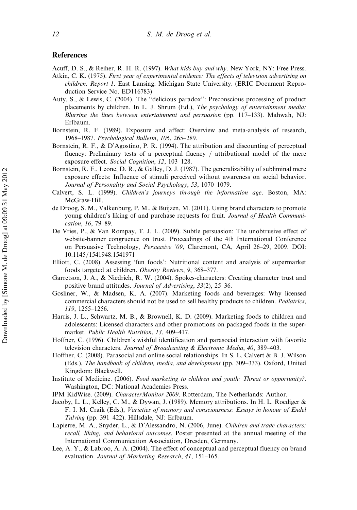#### References

Acuff, D. S., & Reiher, R. H. R. (1997). What kids buy and why. New York, NY: Free Press.

- Atkin, C. K. (1975). First year of experimental evidence: The effects of television advertising on children, Report 1. East Lansing: Michigan State University. (ERIC Document Reproduction Service No. ED116783)
- Auty, S., & Lewis, C. (2004). The ''delicious paradox'': Preconscious processing of product placements by children. In L. J. Shrum (Ed.), The psychology of entertainment media: Blurring the lines between entertainment and persuasion (pp. 117–133). Mahwah, NJ: Erlbaum.
- Bornstein, R. F. (1989). Exposure and affect: Overview and meta-analysis of research, 1968–1987. Psychological Bulletin, 106, 265–289.
- Bornstein, R. F., & D'Agostino, P. R. (1994). The attribution and discounting of perceptual fluency: Preliminary tests of a perceptual fluency  $/$  attributional model of the mere exposure effect. Social Cognition, 12, 103–128.
- Bornstein, R. F., Leone, D. R., & Galley, D. J. (1987). The generalizability of subliminal mere exposure effects: Influence of stimuli perceived without awareness on social behavior. Journal of Personality and Social Psychology, 53, 1070–1079.
- Calvert, S. L. (1999). Children's journeys through the information age. Boston, MA: McGraw-Hill.
- de Droog, S. M., Valkenburg, P. M., & Buijzen, M. (2011). Using brand characters to promote young children's liking of and purchase requests for fruit. Journal of Health Communication, 16, 79–89.
- De Vries, P., & Van Rompay, T. J. L. (2009). Subtle persuasion: The unobtrusive effect of website-banner congruence on trust. Proceedings of the 4th International Conference on Persuasive Technology, Persuasive '09, Claremont, CA, April 26–29, 2009. DOI: 10.1145/1541948.1541971
- Elliott, C. (2008). Assessing 'fun foods': Nutritional content and analysis of supermarket foods targeted at children. Obesity Reviews, 9, 368–377.
- Garretson, J. A., & Niedrich, R. W. (2004). Spokes-characters: Creating character trust and positive brand attitudes. Journal of Advertising, 33(2), 25–36.
- Gosliner, W., & Madsen, K. A. (2007). Marketing foods and beverages: Why licensed commercial characters should not be used to sell healthy products to children. Pediatrics, 119, 1255–1256.
- Harris, J. L., Schwartz, M. B., & Brownell, K. D. (2009). Marketing foods to children and adolescents: Licensed characters and other promotions on packaged foods in the supermarket. Public Health Nutrition, 13, 409–417.
- Hoffner, C. (1996). Children's wishful identification and parasocial interaction with favorite television characters. Journal of Broadcasting & Electronic Media, 40, 389–403.
- Hoffner, C. (2008). Parasocial and online social relationships. In S. L. Calvert & B. J. Wilson (Eds.), The handbook of children, media, and development (pp. 309–333). Oxford, United Kingdom: Blackwell.
- Institute of Medicine. (2006). Food marketing to children and youth: Threat or opportunity?. Washington, DC: National Academies Press.
- IPM KidWise. (2009). CharacterMonitor 2009. Rotterdam, The Netherlands: Author.
- Jacoby, L. L., Kelley, C. M., & Dywan, J. (1989). Memory attributions. In H. L. Roediger & F. I. M. Craik (Eds.), Varieties of memory and consciousness: Essays in honour of Endel Tulving (pp. 391–422). Hillsdale, NJ: Erlbaum.
- Lapierre, M. A., Snyder, L., & D'Alessandro, N. (2006, June). Children and trade characters: recall, liking, and behavioral outcomes. Poster presented at the annual meeting of the International Communication Association, Dresden, Germany.
- Lee, A. Y., & Labroo, A. A. (2004). The effect of conceptual and perceptual fluency on brand evaluation. Journal of Marketing Research, 41, 151–165.